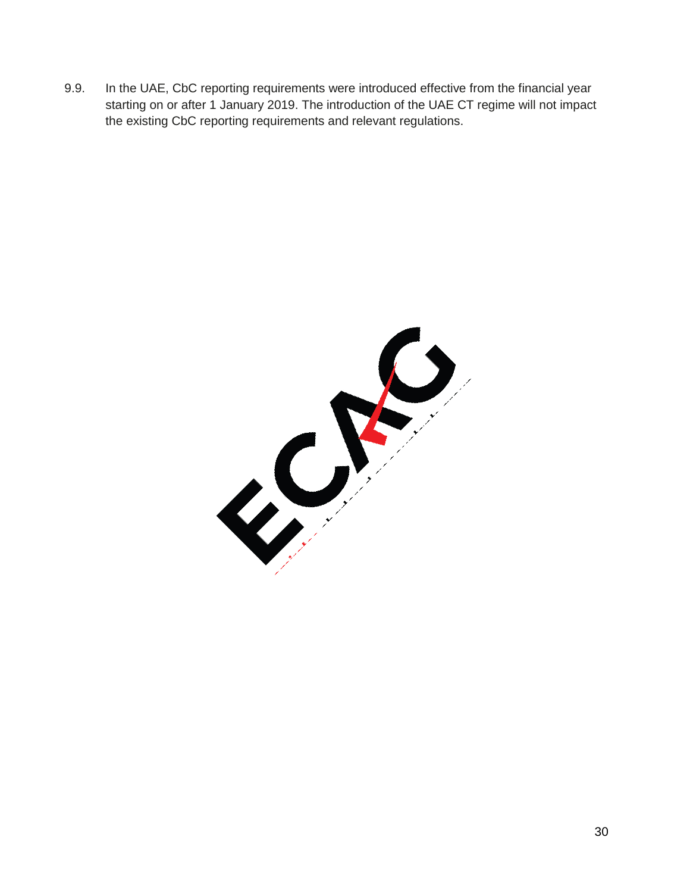9.9. In the UAE, CbC reporting requirements were introduced effective from the financial year starting on or after 1 January 2019. The introduction of the UAE CT regime will not impact the existing CbC reporting requirements and relevant regulations.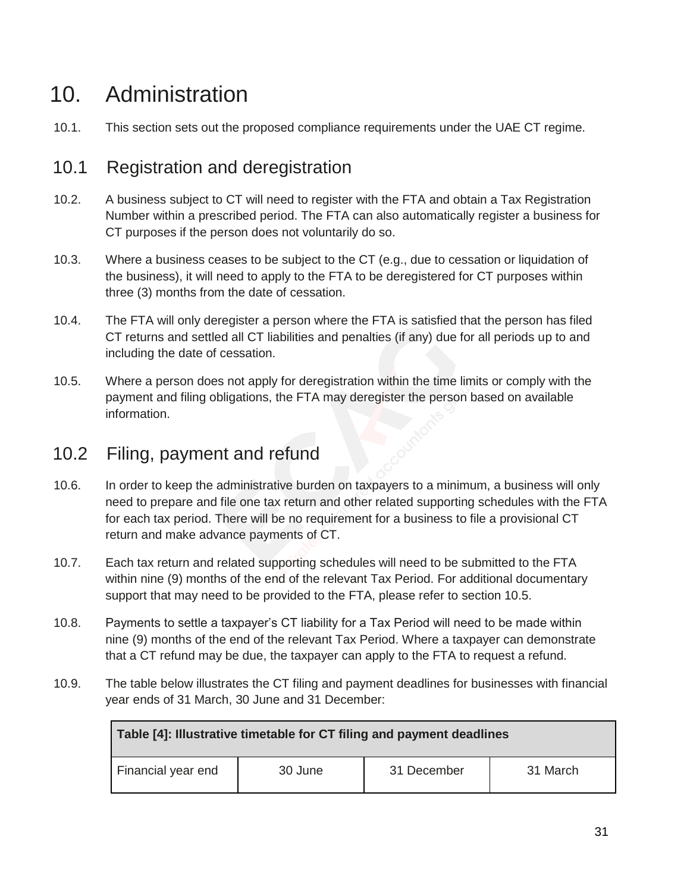# 10. Administration

10.1. This section sets out the proposed compliance requirements under the UAE CT regime.

## 10.1 Registration and deregistration

- 10.2. A business subject to CT will need to register with the FTA and obtain a Tax Registration Number within a prescribed period. The FTA can also automatically register a business for CT purposes if the person does not voluntarily do so.
- 10.3. Where a business ceases to be subject to the CT (e.g., due to cessation or liquidation of the business), it will need to apply to the FTA to be deregistered for CT purposes within three (3) months from the date of cessation.
- 10.4. The FTA will only deregister a person where the FTA is satisfied that the person has filed CT returns and settled all CT liabilities and penalties (if any) due for all periods up to and including the date of cessation.
- 10.5. Where a person does not apply for deregistration within the time limits or comply with the payment and filing obligations, the FTA may deregister the person based on available information.

## 10.2 Filing, payment and refund

- 10.6. In order to keep the administrative burden on taxpayers to a minimum, a business will only need to prepare and file one tax return and other related supporting schedules with the FTA for each tax period. There will be no requirement for a business to file a provisional CT return and make advance payments of CT.
- 10.7. Each tax return and related supporting schedules will need to be submitted to the FTA within nine (9) months of the end of the relevant Tax Period. For additional documentary support that may need to be provided to the FTA, please refer to section 10.5.
- 10.8. Payments to settle a taxpayer's CT liability for a Tax Period will need to be made within nine (9) months of the end of the relevant Tax Period. Where a taxpayer can demonstrate that a CT refund may be due, the taxpayer can apply to the FTA to request a refund.
- 10.9. The table below illustrates the CT filing and payment deadlines for businesses with financial year ends of 31 March, 30 June and 31 December:

| Table [4]: Illustrative timetable for CT filing and payment deadlines |         |             |          |  |  |
|-----------------------------------------------------------------------|---------|-------------|----------|--|--|
| Financial year end                                                    | 30 June | 31 December | 31 March |  |  |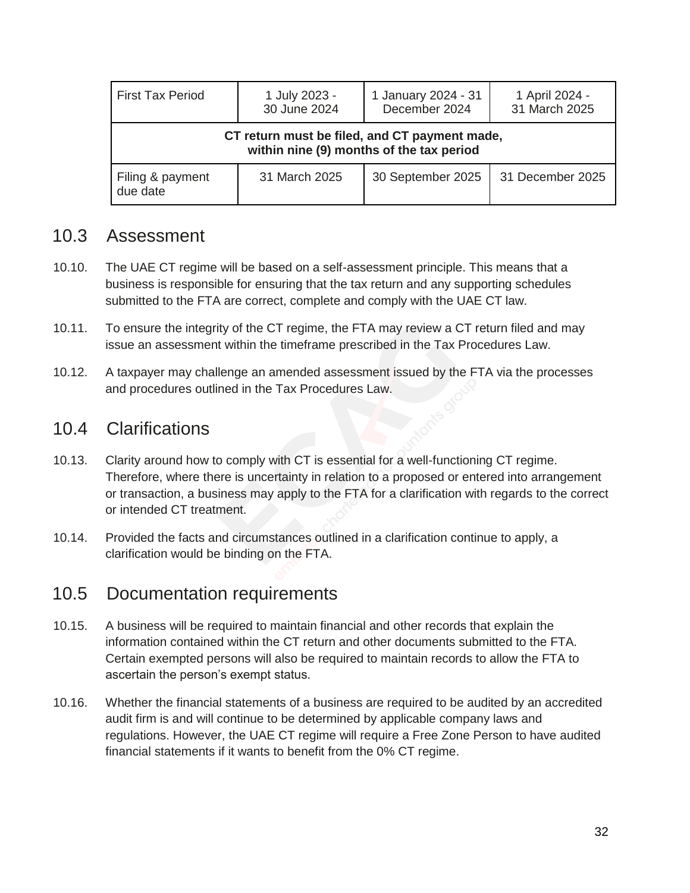| <b>First Tax Period</b>                                                                   | 1 July 2023 -<br>30 June 2024 | 1 January 2024 - 31<br>December 2024 | 1 April 2024 -<br>31 March 2025 |  |  |
|-------------------------------------------------------------------------------------------|-------------------------------|--------------------------------------|---------------------------------|--|--|
| CT return must be filed, and CT payment made,<br>within nine (9) months of the tax period |                               |                                      |                                 |  |  |
| Filing & payment<br>due date                                                              | 31 March 2025                 | 30 September 2025                    | 31 December 2025                |  |  |

#### 10.3 Assessment

- 10.10. The UAE CT regime will be based on a self-assessment principle. This means that a business is responsible for ensuring that the tax return and any supporting schedules submitted to the FTA are correct, complete and comply with the UAE CT law.
- 10.11. To ensure the integrity of the CT regime, the FTA may review a CT return filed and may issue an assessment within the timeframe prescribed in the Tax Procedures Law.
- 10.12. A taxpayer may challenge an amended assessment issued by the FTA via the processes and procedures outlined in the Tax Procedures Law.

### 10.4 Clarifications

- 10.13. Clarity around how to comply with CT is essential for a well-functioning CT regime. Therefore, where there is uncertainty in relation to a proposed or entered into arrangement or transaction, a business may apply to the FTA for a clarification with regards to the correct or intended CT treatment.
- 10.14. Provided the facts and circumstances outlined in a clarification continue to apply, a clarification would be binding on the FTA.

#### 10.5 Documentation requirements

- 10.15. A business will be required to maintain financial and other records that explain the information contained within the CT return and other documents submitted to the FTA. Certain exempted persons will also be required to maintain records to allow the FTA to ascertain the person's exempt status.
- 10.16. Whether the financial statements of a business are required to be audited by an accredited audit firm is and will continue to be determined by applicable company laws and regulations. However, the UAE CT regime will require a Free Zone Person to have audited financial statements if it wants to benefit from the 0% CT regime.